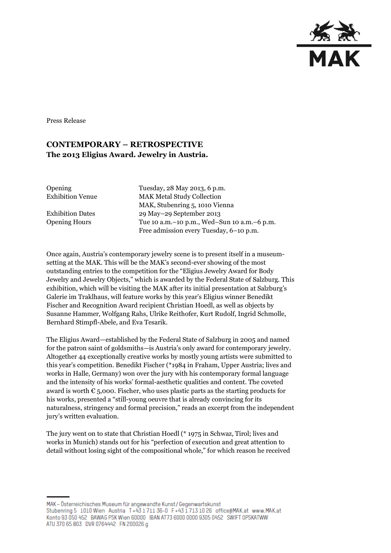

Press Release

## **CONTEMPORARY – RETROSPECTIVE The 2013 Eligius Award. Jewelry in Austria.**

Opening Tuesday, 28 May 2013, 6 p.m. Exhibition Venue MAK Metal Study Collection MAK, Stubenring 5, 1010 Vienna Exhibition Dates 29 May–29 September 2013 Opening Hours Tue 10 a.m.–10 p.m., Wed–Sun 10 a.m.–6 p.m. Free admission every Tuesday, 6–10 p.m.

Once again, Austria's contemporary jewelry scene is to present itself in a museumsetting at the MAK. This will be the MAK's second-ever showing of the most outstanding entries to the competition for the "Eligius Jewelry Award for Body Jewelry and Jewelry Objects," which is awarded by the Federal State of Salzburg. This exhibition, which will be visiting the MAK after its initial presentation at Salzburg's Galerie im Traklhaus, will feature works by this year's Eligius winner Benedikt Fischer and Recognition Award recipient Christian Hoedl, as well as objects by Susanne Hammer, Wolfgang Rahs, Ulrike Reithofer, Kurt Rudolf, Ingrid Schmolle, Bernhard Stimpfl-Abele, and Eva Tesarik.

The Eligius Award—established by the Federal State of Salzburg in 2005 and named for the patron saint of goldsmiths—is Austria's only award for contemporary jewelry. Altogether 44 exceptionally creative works by mostly young artists were submitted to this year's competition. Benedikt Fischer (\*1984 in Fraham, Upper Austria; lives and works in Halle, Germany) won over the jury with his contemporary formal language and the intensity of his works' formal-aesthetic qualities and content. The coveted award is worth  $\epsilon$  5,000. Fischer, who uses plastic parts as the starting products for his works, presented a "still-young oeuvre that is already convincing for its naturalness, stringency and formal precision," reads an excerpt from the independent jury's written evaluation.

The jury went on to state that Christian Hoedl (\* 1975 in Schwaz, Tirol; lives and works in Munich) stands out for his "perfection of execution and great attention to detail without losing sight of the compositional whole," for which reason he received

MAK - Österreichisches Museum für angewandte Kunst/Gegenwartskunst Stubenring 5 1010 Wien Austria T+43 1711 36-0 F+43 1713 10 26 office@MAK.at www.MAK.at Konto 93 050 452 BAWAG PSK Wien 60000 BAN AT73 6000 0000 9305 0452 SWIFT 0PSKATWW ATU 370 65 803 DVR 0764442 FN 200026 g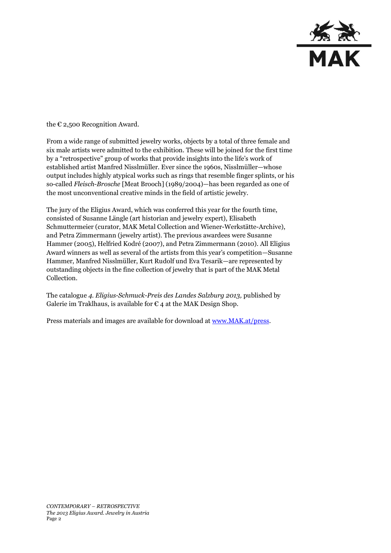

the  $\epsilon$  2,500 Recognition Award.

From a wide range of submitted jewelry works, objects by a total of three female and six male artists were admitted to the exhibition. These will be joined for the first time by a "retrospective" group of works that provide insights into the life's work of established artist Manfred Nisslmüller. Ever since the 1960s, Nisslmüller—whose output includes highly atypical works such as rings that resemble finger splints, or his so-called *Fleisch-Brosche* [Meat Brooch] (1989/2004)—has been regarded as one of the most unconventional creative minds in the field of artistic jewelry.

The jury of the Eligius Award, which was conferred this year for the fourth time, consisted of Susanne Längle (art historian and jewelry expert), Elisabeth Schmuttermeier (curator, MAK Metal Collection and Wiener-Werkstätte-Archive), and Petra Zimmermann (jewelry artist). The previous awardees were Susanne Hammer (2005), Helfried Kodré (2007), and Petra Zimmermann (2010). All Eligius Award winners as well as several of the artists from this year's competition—Susanne Hammer, Manfred Nisslmüller, Kurt Rudolf und Eva Tesarik—are represented by outstanding objects in the fine collection of jewelry that is part of the MAK Metal Collection.

The catalogue *4. Eligius-Schmuck-Preis des Landes Salzburg 2013,* published by Galerie im Traklhaus, is available for  $\epsilon$  4 at the MAK Design Shop.

Press materials and images are available for download at [www.MAK.at/press.](http://www.mak.at/press)